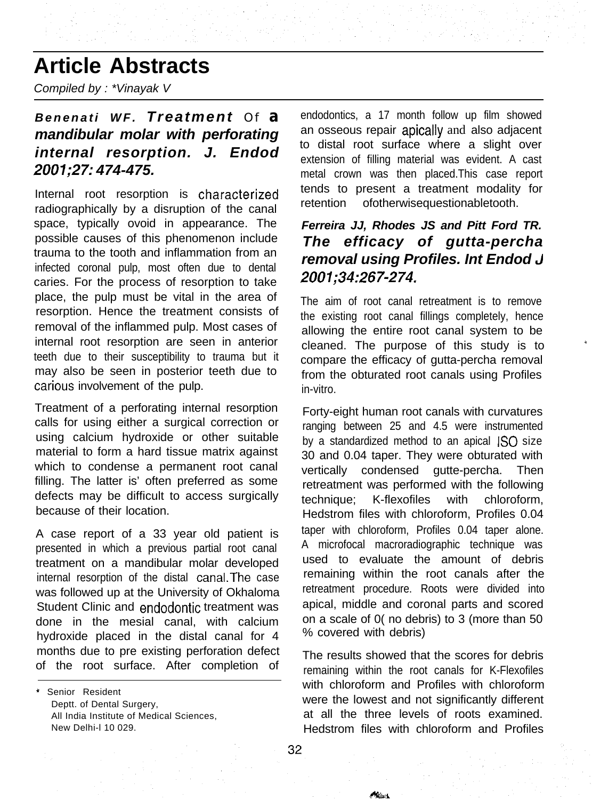# **Article Abstracts**

*Compiled by : \*Vinayak V*

### *Benenati WF. Treatment Of* **a** *mandibular molar with perforating internal resorption. J. Endod 2001;27: 474-475.*

Internal root resorption is characterized radiographically by a disruption of the canal space, typically ovoid in appearance. The possible causes of this phenomenon include trauma to the tooth and inflammation from an infected coronal pulp, most often due to dental caries. For the process of resorption to take place, the pulp must be vital in the area of resorption. Hence the treatment consists of removal of the inflammed pulp. Most cases of internal root resorption are seen in anterior teeth due to their susceptibility to trauma but it may also be seen in posterior teeth due to carious involvement of the pulp.

Treatment of a perforating internal resorption calls for using either a surgical correction or using calcium hydroxide or other suitable material to form a hard tissue matrix against which to condense a permanent root canal filling. The latter is' often preferred as some defects may be difficult to access surgically because of their location.

A case report of a 33 year old patient is presented in which a previous partial root canal treatment on a mandibular molar developed internal resorption of the distal canal.The case was followed up at the University of Okhaloma Student Clinic and endodontic treatment was done in the mesial canal, with calcium hydroxide placed in the distal canal for 4 months due to pre existing perforation defect of the root surface. After completion of

\* Senior Resident Deptt. of Dental Surgery, All India Institute of Medical Sciences, New Delhi-l 10 029.

endodontics, a 17 month follow up film showed an osseous repair apically and also adjacent to distal root surface where a slight over extension of filling material was evident. A cast metal crown was then placed.This case report tends to present a treatment modality for retention ofotherwisequestionabletooth.

### *Ferreira JJ, Rhodes JS and Pitt Ford TR. The efficacy of gutta-percha removal using Profiles. Int Endod J 2001;34:267-274.*

The aim of root canal retreatment is to remove the existing root canal fillings completely, hence allowing the entire root canal system to be cleaned. The purpose of this study is to compare the efficacy of gutta-percha removal from the obturated root canals using Profiles in-vitro.

Forty-eight human root canals with curvatures ranging between 25 and 4.5 were instrumented by a standardized method to an apical ISO size 30 and 0.04 taper. They were obturated with vertically condensed gutte-percha. Then retreatment was performed with the following technique; K-flexofiles with chloroform, Hedstrom files with chloroform, Profiles 0.04 taper with chloroform, Profiles 0.04 taper alone. A microfocal macroradiographic technique was used to evaluate the amount of debris remaining within the root canals after the retreatment procedure. Roots were divided into apical, middle and coronal parts and scored on a scale of 0( no debris) to 3 (more than 50 % covered with debris)

The results showed that the scores for debris remaining within the root canals for K-Flexofiles with chloroform and Profiles with chloroform were the lowest and not significantly different at all the three levels of roots examined. Hedstrom files with chloroform and Profiles

**Albert**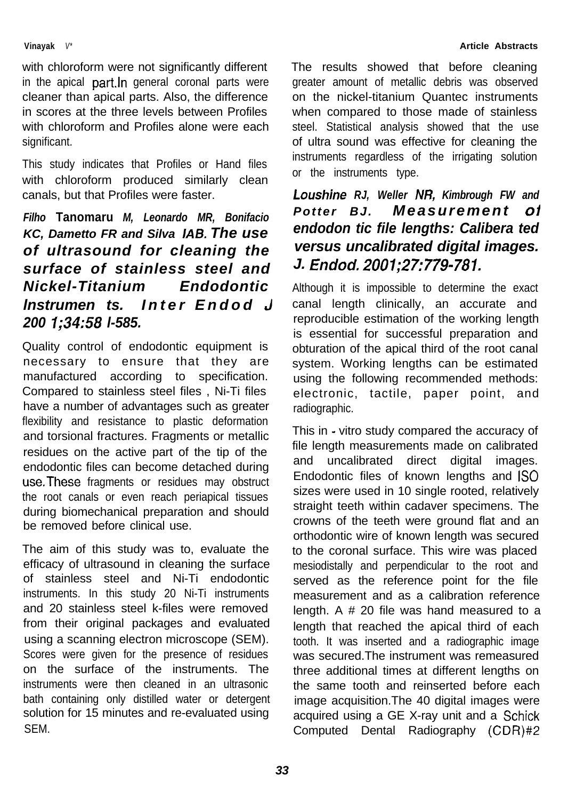#### **Vinayak** *V\**

with chloroform were not significantly different in the apical part.ln general coronal parts were cleaner than apical parts. Also, the difference in scores at the three levels between Profiles with chloroform and Profiles alone were each significant.

This study indicates that Profiles or Hand files with chloroform produced similarly clean canals, but that Profiles were faster.

### *Filho* **Tanomaru** *M, Leonardo MR, Bonifacio KC, Dametto FR and Silva IAB. The use of ultrasound for cleaning the surface of stainless steel and Nickel-Titanium Endodontic lnstrumen ts. Inter Endod 3 200 1;34:58 l-585.*

Quality control of endodontic equipment is necessary to ensure that they are manufactured according to specification. Compared to stainless steel files , Ni-Ti files have a number of advantages such as greater flexibility and resistance to plastic deformation and torsional fractures. Fragments or metallic residues on the active part of the tip of the endodontic files can become detached during use.These fragments or residues may obstruct the root canals or even reach periapical tissues during biomechanical preparation and should be removed before clinical use.

The aim of this study was to, evaluate the efficacy of ultrasound in cleaning the surface of stainless steel and Ni-Ti endodontic instruments. In this study 20 Ni-Ti instruments and 20 stainless steel k-files were removed from their original packages and evaluated using a scanning electron microscope (SEM). Scores were given for the presence of residues on the surface of the instruments. The instruments were then cleaned in an ultrasonic bath containing only distilled water or detergent solution for 15 minutes and re-evaluated using SEM.

The results showed that before cleaning greater amount of metallic debris was observed on the nickel-titanium Quantec instruments when compared to those made of stainless steel. Statistical analysis showed that the use of ultra sound was effective for cleaning the instruments regardless of the irrigating solution or the instruments type.

### *Loushine RJ, Weller NR, Kimbrough FW and Potter BJ. Measurement 01 endodon tic file lengths: Calibera ted versus uncalibrated digital images. J. Ended. 2001;27:779-781.*

Although it is impossible to determine the exact canal length clinically, an accurate and reproducible estimation of the working length is essential for successful preparation and obturation of the apical third of the root canal system. Working lengths can be estimated using the following recommended methods: electronic, tactile, paper point, and radiographic.

This in - vitro study compared the accuracy of file length measurements made on calibrated and uncalibrated direct digital images. Endodontic files of known lengths and IS0 sizes were used in 10 single rooted, relatively straight teeth within cadaver specimens. The crowns of the teeth were ground flat and an orthodontic wire of known length was secured to the coronal surface. This wire was placed mesiodistally and perpendicular to the root and served as the reference point for the file measurement and as a calibration reference length. A # 20 file was hand measured to a length that reached the apical third of each tooth. It was inserted and a radiographic image was secured.The instrument was remeasured three additional times at different lengths on the same tooth and reinserted before each image acquisition.The 40 digital images were acquired using a GE X-ray unit and a Schick Computed Dental Radiography (CDR)#2